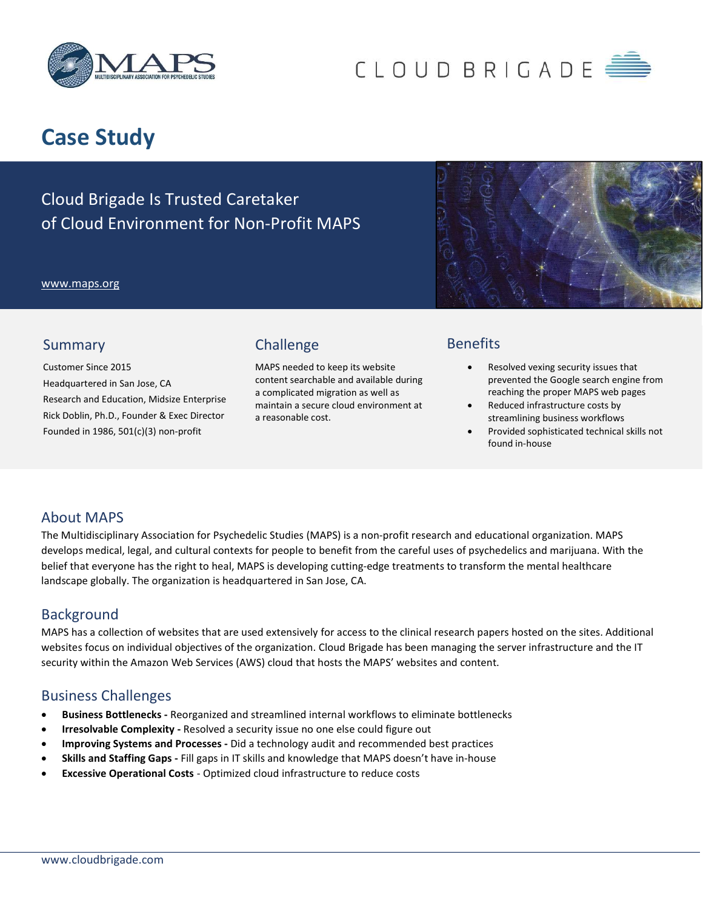

# CLOUD BRIGADE

## Case Study

Cloud Brigade Is Trusted Caretaker of Cloud Environment for Non-Profit MAPS

#### www.maps.org



#### Summary

Customer Since 2015 Headquartered in San Jose, CA Research and Education, Midsize Enterprise Rick Doblin, Ph.D., Founder & Exec Director Founded in 1986, 501(c)(3) non-profit

## Challenge

MAPS needed to keep its website content searchable and available during a complicated migration as well as maintain a secure cloud environment at a reasonable cost.

## **Benefits**

- Resolved vexing security issues that prevented the Google search engine from reaching the proper MAPS web pages
- Reduced infrastructure costs by streamlining business workflows
- Provided sophisticated technical skills not found in-house

### About MAPS

The Multidisciplinary Association for Psychedelic Studies (MAPS) is a non-profit research and educational organization. MAPS develops medical, legal, and cultural contexts for people to benefit from the careful uses of psychedelics and marijuana. With the belief that everyone has the right to heal, MAPS is developing cutting-edge treatments to transform the mental healthcare landscape globally. The organization is headquartered in San Jose, CA.

#### **Background**

MAPS has a collection of websites that are used extensively for access to the clinical research papers hosted on the sites. Additional websites focus on individual objectives of the organization. Cloud Brigade has been managing the server infrastructure and the IT security within the Amazon Web Services (AWS) cloud that hosts the MAPS' websites and content.

### Business Challenges

- Business Bottlenecks Reorganized and streamlined internal workflows to eliminate bottlenecks
- Irresolvable Complexity Resolved a security issue no one else could figure out
- Improving Systems and Processes Did a technology audit and recommended best practices
- Skills and Staffing Gaps Fill gaps in IT skills and knowledge that MAPS doesn't have in-house
- Excessive Operational Costs Optimized cloud infrastructure to reduce costs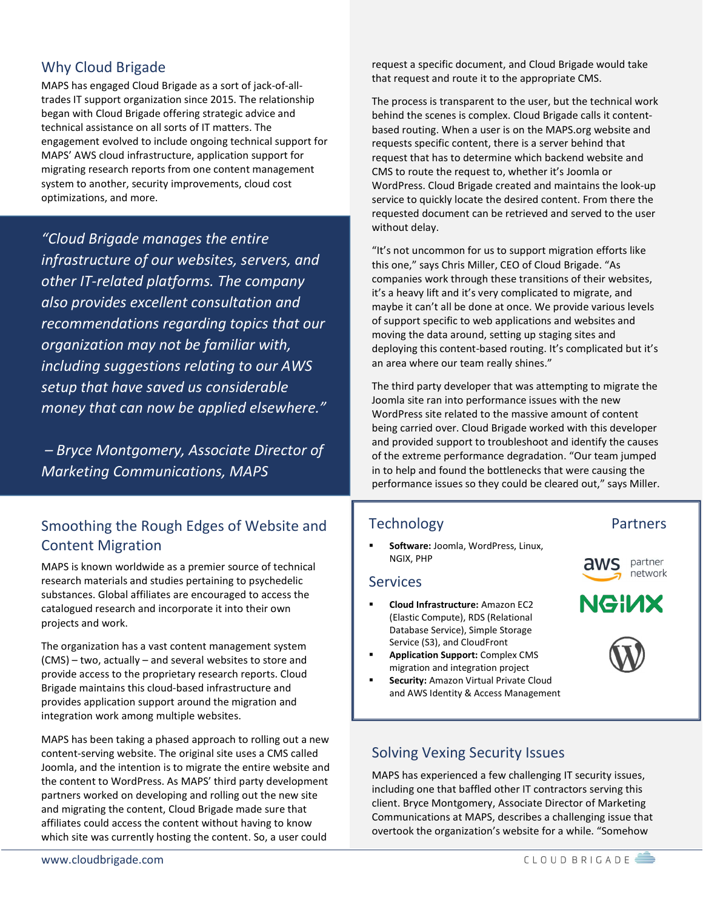## Why Cloud Brigade

MAPS has engaged Cloud Brigade as a sort of jack-of-alltrades IT support organization since 2015. The relationship began with Cloud Brigade offering strategic advice and technical assistance on all sorts of IT matters. The engagement evolved to include ongoing technical support for MAPS' AWS cloud infrastructure, application support for migrating research reports from one content management system to another, security improvements, cloud cost optimizations, and more.

"Cloud Brigade manages the entire infrastructure of our websites, servers, and other IT-related platforms. The company also provides excellent consultation and recommendations regarding topics that our organization may not be familiar with, including suggestions relating to our AWS setup that have saved us considerable money that can now be applied elsewhere."

 – Bryce Montgomery, Associate Director of Marketing Communications, MAPS

## Smoothing the Rough Edges of Website and Content Migration

MAPS is known worldwide as a premier source of technical research materials and studies pertaining to psychedelic substances. Global affiliates are encouraged to access the catalogued research and incorporate it into their own projects and work.

The organization has a vast content management system (CMS) – two, actually – and several websites to store and provide access to the proprietary research reports. Cloud Brigade maintains this cloud-based infrastructure and provides application support around the migration and integration work among multiple websites.

MAPS has been taking a phased approach to rolling out a new content-serving website. The original site uses a CMS called Joomla, and the intention is to migrate the entire website and the content to WordPress. As MAPS' third party development partners worked on developing and rolling out the new site and migrating the content, Cloud Brigade made sure that affiliates could access the content without having to know which site was currently hosting the content. So, a user could

request a specific document, and Cloud Brigade would take that request and route it to the appropriate CMS.

The process is transparent to the user, but the technical work behind the scenes is complex. Cloud Brigade calls it contentbased routing. When a user is on the MAPS.org website and requests specific content, there is a server behind that request that has to determine which backend website and CMS to route the request to, whether it's Joomla or WordPress. Cloud Brigade created and maintains the look-up service to quickly locate the desired content. From there the requested document can be retrieved and served to the user without delay.

"It's not uncommon for us to support migration efforts like this one," says Chris Miller, CEO of Cloud Brigade. "As companies work through these transitions of their websites, it's a heavy lift and it's very complicated to migrate, and maybe it can't all be done at once. We provide various levels of support specific to web applications and websites and moving the data around, setting up staging sites and deploying this content-based routing. It's complicated but it's an area where our team really shines."

The third party developer that was attempting to migrate the Joomla site ran into performance issues with the new WordPress site related to the massive amount of content being carried over. Cloud Brigade worked with this developer and provided support to troubleshoot and identify the causes of the extreme performance degradation. "Our team jumped in to help and found the bottlenecks that were causing the performance issues so they could be cleared out," says Miller.

## **Technology**

 Software: Joomla, WordPress, Linux, NGIX, PHP

#### Services

- Cloud Infrastructure: Amazon EC2 (Elastic Compute), RDS (Relational Database Service), Simple Storage Service (S3), and CloudFront
- Application Support: Complex CMS migration and integration project
- **Security:** Amazon Virtual Private Cloud and AWS Identity & Access Management

### Solving Vexing Security Issues

MAPS has experienced a few challenging IT security issues, including one that baffled other IT contractors serving this client. Bryce Montgomery, Associate Director of Marketing Communications at MAPS, describes a challenging issue that overtook the organization's website for a while. "Somehow

Partners

**NGINX** 

partner network